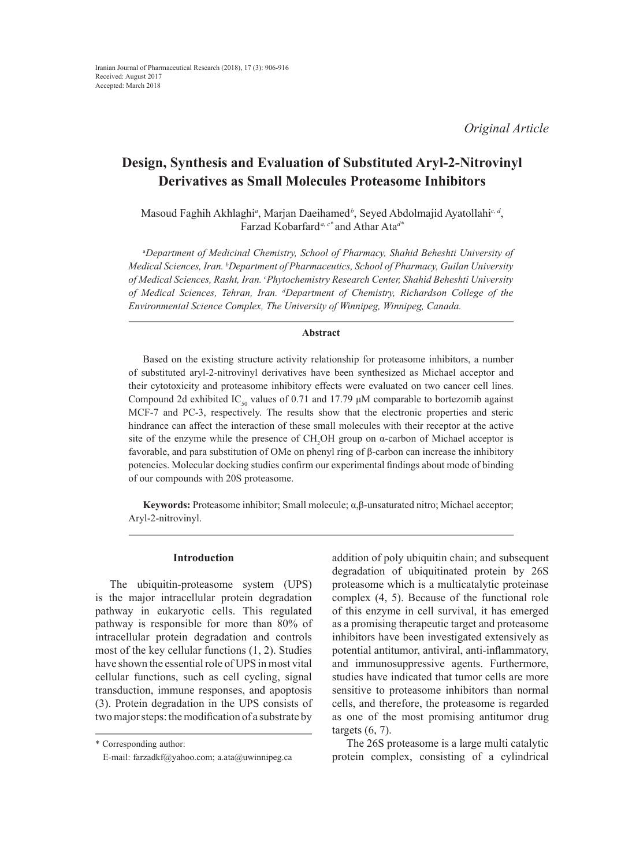*Original Article*

# **Design, Synthesis and Evaluation of Substituted Aryl-2-Nitrovinyl Derivatives as Small Molecules Proteasome Inhibitors**

Masoud Faghih Akhlaghi*<sup>a</sup>* , Marjan Daeihamed*<sup>b</sup>* , Seyed Abdolmajid Ayatollahi*c, d*, Farzad Kobarfard*a, c\** and Athar Ata*d\**

a *Department of Medicinal Chemistry, School of Pharmacy, Shahid Beheshti University of Medical Sciences, Iran. b Department of Pharmaceutics, School of Pharmacy, Guilan University of Medical Sciences, Rasht, Iran. c Phytochemistry Research Center, Shahid Beheshti University of Medical Sciences, Tehran, Iran. d Department of Chemistry, Richardson College of the Environmental Science Complex, The University of Winnipeg, Winnipeg, Canada.*

# **Abstract**

Based on the existing structure activity relationship for proteasome inhibitors, a number of substituted aryl-2-nitrovinyl derivatives have been synthesized as Michael acceptor and their cytotoxicity and proteasome inhibitory effects were evaluated on two cancer cell lines. Compound 2d exhibited IC<sub>50</sub> values of 0.71 and 17.79  $\mu$ M comparable to bortezomib against MCF-7 and PC-3, respectively. The results show that the electronic properties and steric hindrance can affect the interaction of these small molecules with their receptor at the active site of the enzyme while the presence of  $CH_2OH$  group on  $\alpha$ -carbon of Michael acceptor is favorable, and para substitution of OMe on phenyl ring of β-carbon can increase the inhibitory potencies. Molecular docking studies confirm our experimental findings about mode of binding of our compounds with 20S proteasome.

**Keywords:** Proteasome inhibitor; Small molecule; α,β-unsaturated nitro; Michael acceptor; Aryl-2-nitrovinyl.

### **Introduction**

The ubiquitin-proteasome system (UPS) is the major intracellular protein degradation pathway in eukaryotic cells. This regulated pathway is responsible for more than 80% of intracellular protein degradation and controls most of the key cellular functions (1, 2). Studies have shown the essential role of UPS in most vital cellular functions, such as cell cycling, signal transduction, immune responses, and apoptosis (3). Protein degradation in the UPS consists of two major steps: the modification of a substrate by

addition of poly ubiquitin chain; and subsequent degradation of ubiquitinated protein by 26S proteasome which is a multicatalytic proteinase complex (4, 5). Because of the functional role of this enzyme in cell survival, it has emerged as a promising therapeutic target and proteasome inhibitors have been investigated extensively as potential antitumor, antiviral, anti-inflammatory, and immunosuppressive agents. Furthermore, studies have indicated that tumor cells are more sensitive to proteasome inhibitors than normal cells, and therefore, the proteasome is regarded as one of the most promising antitumor drug targets  $(6, 7)$ .

The 26S proteasome is a large multi catalytic protein complex, consisting of a cylindrical

<sup>\*</sup> Corresponding author:

E-mail: farzadkf@yahoo.com; a.ata@uwinnipeg.ca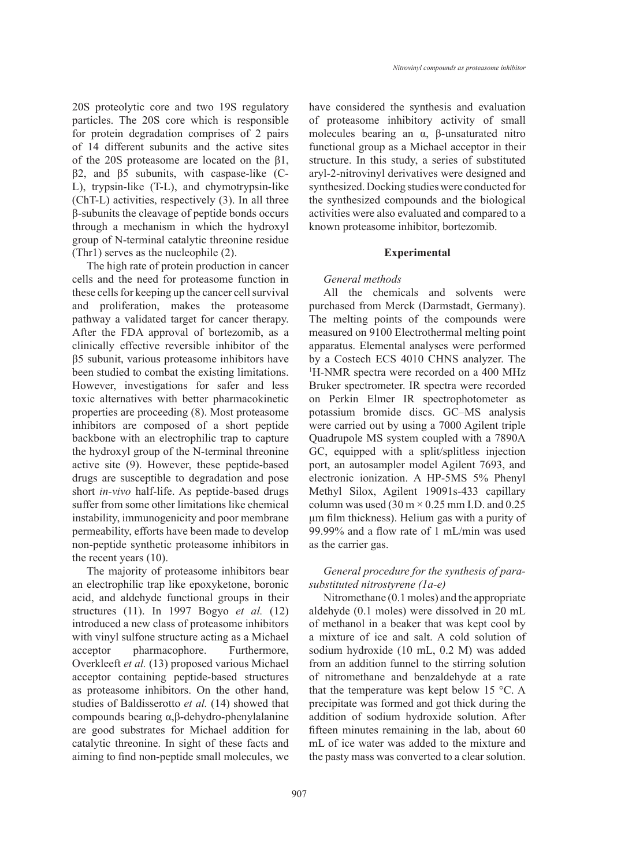20S proteolytic core and two 19S regulatory particles. The 20S core which is responsible for protein degradation comprises of 2 pairs of 14 different subunits and the active sites of the 20S proteasome are located on the β1,

β2, and β5 subunits, with caspase-like (C-L), trypsin-like (T-L), and chymotrypsin-like (ChT-L) activities, respectively (3). In all three β-subunits the cleavage of peptide bonds occurs through a mechanism in which the hydroxyl group of N-terminal catalytic threonine residue (Thr1) serves as the nucleophile (2).

The high rate of protein production in cancer cells and the need for proteasome function in these cells for keeping up the cancer cell survival and proliferation, makes the proteasome pathway a validated target for cancer therapy. After the FDA approval of bortezomib, as a clinically effective reversible inhibitor of the β5 subunit, various proteasome inhibitors have been studied to combat the existing limitations. However, investigations for safer and less toxic alternatives with better pharmacokinetic properties are proceeding (8). Most proteasome inhibitors are composed of a short peptide backbone with an electrophilic trap to capture the hydroxyl group of the N-terminal threonine active site (9). However, these peptide-based drugs are susceptible to degradation and pose short *in-vivo* half-life. As peptide-based drugs suffer from some other limitations like chemical instability, immunogenicity and poor membrane permeability, efforts have been made to develop non-peptide synthetic proteasome inhibitors in the recent years (10).

The majority of proteasome inhibitors bear an electrophilic trap like epoxyketone, boronic acid, and aldehyde functional groups in their structures (11). In 1997 Bogyo *et al.* (12) introduced a new class of proteasome inhibitors with vinyl sulfone structure acting as a Michael acceptor pharmacophore. Furthermore, Overkleeft *et al.* (13) proposed various Michael acceptor containing peptide-based structures as proteasome inhibitors. On the other hand, studies of Baldisserotto *et al.* (14) showed that compounds bearing α,β-dehydro-phenylalanine are good substrates for Michael addition for catalytic threonine. In sight of these facts and aiming to find non-peptide small molecules, we have considered the synthesis and evaluation of proteasome inhibitory activity of small molecules bearing an α, β-unsaturated nitro functional group as a Michael acceptor in their structure. In this study, a series of substituted aryl-2-nitrovinyl derivatives were designed and synthesized. Docking studies were conducted for the synthesized compounds and the biological activities were also evaluated and compared to a known proteasome inhibitor, bortezomib.

#### **Experimental**

### *General methods*

All the chemicals and solvents were purchased from Merck (Darmstadt, Germany). The melting points of the compounds were measured on 9100 Electrothermal melting point apparatus. Elemental analyses were performed by a Costech ECS 4010 CHNS analyzer. The 1 H-NMR spectra were recorded on a 400 MHz Bruker spectrometer. IR spectra were recorded on Perkin Elmer IR spectrophotometer as potassium bromide discs. GC–MS analysis were carried out by using a 7000 Agilent triple Quadrupole MS system coupled with a 7890A GC, equipped with a split/splitless injection port, an autosampler model Agilent 7693, and electronic ionization. A HP-5MS 5% Phenyl Methyl Silox, Agilent 19091s-433 capillary column was used (30 m  $\times$  0.25 mm I.D. and 0.25 μm film thickness). Helium gas with a purity of 99.99% and a flow rate of 1 mL/min was used as the carrier gas.

# *General procedure for the synthesis of parasubstituted nitrostyrene (1a-e)*

Nitromethane (0.1 moles) and the appropriate aldehyde (0.1 moles) were dissolved in 20 mL of methanol in a beaker that was kept cool by a mixture of ice and salt. A cold solution of sodium hydroxide (10 mL, 0.2 M) was added from an addition funnel to the stirring solution of nitromethane and benzaldehyde at a rate that the temperature was kept below 15 °C. A precipitate was formed and got thick during the addition of sodium hydroxide solution. After fifteen minutes remaining in the lab, about 60 mL of ice water was added to the mixture and the pasty mass was converted to a clear solution.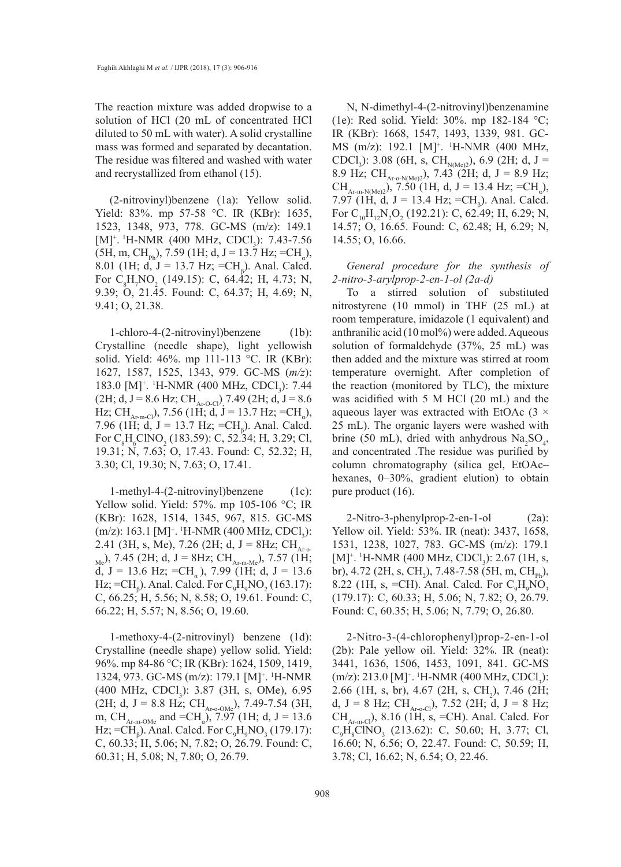The reaction mixture was added dropwise to a solution of HCl (20 mL of concentrated HCl diluted to 50 mL with water). A solid crystalline mass was formed and separated by decantation. The residue was filtered and washed with water and recrystallized from ethanol (15).

(2-nitrovinyl)benzene (1a): Yellow solid. Yield: 83%. mp 57-58 °C. IR (KBr): 1635, 1523, 1348, 973, 778. GC-MS (m/z): 149.1  $[M]^{\dagger}$ . <sup>1</sup>H-NMR (400 MHz, CDCl<sub>3</sub>): 7.43-7.56  $(5H, m, CH_{ph}), 7.59$  (1H; d, J = 13.7 Hz; =CH<sub>a</sub>), 8.01 (1H; d, J = 13.7 Hz; =CH<sub>β</sub>). Anal. Calcd. For  $C_8H_7NO_2$  (149.15): C, 64.42; H, 4.73; N, 9.39; O, 21.45. Found: C, 64.37; H, 4.69; N, 9.41; O, 21.38.

1-chloro-4-(2-nitrovinyl)benzene (1b): Crystalline (needle shape), light yellowish solid. Yield: 46%. mp 111-113 °C. IR (KBr): 1627, 1587, 1525, 1343, 979. GC-MS (*m/z*): 183.0 [M]<sup>+</sup>. <sup>1</sup>H-NMR (400 MHz, CDCl<sub>3</sub>): 7.44  $(2H; d, J = 8.6 Hz; CH<sub>Ar-O-Cl</sub>)$ , 7.49 (2H; d, J = 8.6) Hz; CH<sub>Ar-m-Cl</sub>), 7.56 (1H; d, J = 13.7 Hz; =CH<sub>a</sub>), 7.96 (1H; d, J = 13.7 Hz; =CH<sub>β</sub>). Anal. Calcd. For  $C_8H_6CINO_2$  (183.59): C, 52.34; H, 3.29; Cl, 19.31; N, 7.63; O, 17.43. Found: C, 52.32; H, 3.30; Cl, 19.30; N, 7.63; O, 17.41.

1-methyl-4-(2-nitrovinyl)benzene (1c): Yellow solid. Yield: 57%. mp 105-106 °C; IR (KBr): 1628, 1514, 1345, 967, 815. GC-MS (m/z): 163.1 [M]<sup>+</sup>. <sup>1</sup>H-NMR (400 MHz, CDCl<sub>3</sub>): 2.41 (3H, s, Me), 7.26 (2H; d, J = 8Hz; CH<sub>Ar-o-</sub>  $_{\text{Me}}$ ), 7.45 (2H; d, J = 8Hz; CH<sub>Ar-m-Me</sub>), 7.57 (1H; d, J = 13.6 Hz; =CH<sub>a</sub>), 7.99 (1H; d, J = 13.6 Hz; =CH<sub>β</sub>). Anal. Calcd. For  $C_9H_9NO_2 (163.17)$ : C, 66.25; H, 5.56; N, 8.58; O, 19.61. Found: C, 66.22; H, 5.57; N, 8.56; O, 19.60.

1-methoxy-4-(2-nitrovinyl) benzene (1d): Crystalline (needle shape) yellow solid. Yield: 96%. mp 84-86 °C; IR (KBr): 1624, 1509, 1419, 1324, 973. GC-MS (m/z): 179.1 [M]<sup>+</sup>. <sup>1</sup>H-NMR  $(400 \text{ MHz}, \text{CDCl}_3)$ : 3.87 (3H, s, OMe), 6.95 (2H; d, J = 8.8 Hz; CH<sub>Ar-o-OMe</sub>), 7.49-7.54 (3H, m, CH<sub>Ar-m-OMe</sub> and =CH<sub>a</sub>), 7.97 (1H; d, J = 13.6 Hz; =CH<sub>β</sub>). Anal. Calcd. For  $C_9H_9NO_3 (179.17)$ : C, 60.33; H, 5.06; N, 7.82; O, 26.79. Found: C, 60.31; H, 5.08; N, 7.80; O, 26.79.

N, N-dimethyl-4-(2-nitrovinyl)benzenamine (1e): Red solid. Yield: 30%. mp 182-184 °C; IR (KBr): 1668, 1547, 1493, 1339, 981. GC-MS (m/z): 192.1 [M]<sup>+</sup>. <sup>1</sup>H-NMR (400 MHz, CDCl<sub>3</sub>): 3.08 (6H, s, CH<sub>N(Me)2</sub>), 6.9 (2H; d, J = 8.9 Hz; CH<sub>Ar-o-N(Me)</sub><sup>2</sup>), 7.43 (2H; d, J = 8.9 Hz;  $CH_{Ar-m-N(Me)2}$ , 7.50 (1H, d, J = 13.4 Hz; =CH<sub>a</sub>), 7.97 (1H, d, J = 13.4 Hz; =CH<sub>β</sub>). Anal. Calcd. For  $C_{10}H_{12}N_2O_2$  (192.21): C, 62.49; H, 6.29; N, 14.57; O, 16.65. Found: C, 62.48; H, 6.29; N, 14.55; O, 16.66.

*General procedure for the synthesis of 2-nitro-3-arylprop-2-en-1-ol (2a-d)*

To a stirred solution of substituted nitrostyrene (10 mmol) in THF (25 mL) at room temperature, imidazole (1 equivalent) and anthranilic acid (10 mol%) were added. Aqueous solution of formaldehyde (37%, 25 mL) was then added and the mixture was stirred at room temperature overnight. After completion of the reaction (monitored by TLC), the mixture was acidified with 5 M HCl (20 mL) and the aqueous layer was extracted with EtOAc  $(3 \times$ 25 mL). The organic layers were washed with brine (50 mL), dried with anhydrous  $\text{Na}_2\text{SO}_4$ , and concentrated .The residue was purified by column chromatography (silica gel, EtOAc– hexanes, 0–30%, gradient elution) to obtain pure product (16).

2-Nitro-3-phenylprop-2-en-1-ol (2a): Yellow oil. Yield: 53%. IR (neat): 3437, 1658, 1531, 1238, 1027, 783. GC-MS (m/z): 179.1  $[M]^{\dagger}$ . <sup>1</sup>H-NMR (400 MHz, CDCl<sub>3</sub>): 2.67 (1H, s, br), 4.72 (2H, s, CH<sub>2</sub>), 7.48-7.58 (5H, m, CH<sub>Ph</sub>), 8.22 (1H, s, =CH). Anal. Calcd. For  $C_9H_9NO_3$ (179.17): C, 60.33; H, 5.06; N, 7.82; O, 26.79. Found: C, 60.35; H, 5.06; N, 7.79; O, 26.80.

2-Nitro-3-(4-chlorophenyl)prop-2-en-1-ol (2b): Pale yellow oil. Yield: 32%. IR (neat): 3441, 1636, 1506, 1453, 1091, 841. GC-MS  $(m/z)$ : 213.0 [M]<sup>+</sup>. <sup>1</sup>H-NMR (400 MHz, CDCl<sub>3</sub>): 2.66 (1H, s, br), 4.67 (2H, s, CH<sub>2</sub>), 7.46 (2H; d, J = 8 Hz; CH<sub>Ar-o-Cl</sub>), 7.52 (2H; d, J = 8 Hz;  $CH_{\text{Ar-m-Cl}}$ , 8.16 (1H, s, =CH). Anal. Calcd. For  $C_9H_8CINO_3$  (213.62): C, 50.60; H, 3.77; Cl, 16.60; N, 6.56; O, 22.47. Found: C, 50.59; H, 3.78; Cl, 16.62; N, 6.54; O, 22.46.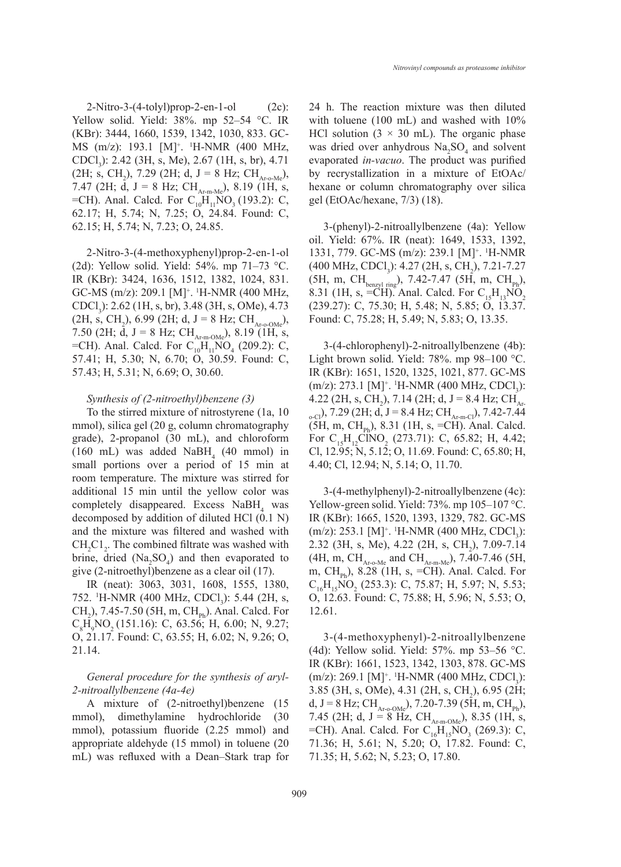$2-Nitro-3-(4-tolyl)prop-2-en-1-o$  (2c): Yellow solid. Yield: 38%. mp 52–54 °C. IR (KBr): 3444, 1660, 1539, 1342, 1030, 833. GC-MS (m/z): 193.1 [M]<sup>+</sup>. <sup>1</sup>H-NMR (400 MHz, CDCl<sub>3</sub>): 2.42 (3H, s, Me), 2.67 (1H, s, br), 4.71 (2H; s, CH<sub>2</sub>), 7.29 (2H; d, J = 8 Hz; CH<sub>Ar-o-Me</sub>), 7.47 (2H;  $\bar{d}$ , J = 8 Hz; CH<sub>Ar-m-Me</sub>), 8.19 (1H, s,  $=CH$ ). Anal. Calcd. For  $C_{10}H_{11}NO_3$  (193.2): C, 62.17; H, 5.74; N, 7.25; O, 24.84. Found: C, 62.15; H, 5.74; N, 7.23; O, 24.85.

2-Nitro-3-(4-methoxyphenyl)prop-2-en-1-ol (2d): Yellow solid. Yield: 54%. mp 71–73 °C. IR (KBr): 3424, 1636, 1512, 1382, 1024, 831.  $GC\text{-}MS$  (m/z): 209.1 [M]<sup>+</sup>. <sup>1</sup>H-NMR (400 MHz, CDCl<sub>3</sub>): 2.62 (1H, s, br), 3.48 (3H, s, OMe), 4.73  $(2H, s, CH<sub>2</sub>), 6.99 (2H; d, J = 8 Hz; CH<sub>Ar-o-OMe</sub>),$ 7.50 (2H; d, J = 8 Hz;  $CH_{Ar-m-OMe}$ ), 8.19 (1H, s,  $=$ CH). Anal. Calcd. For  $C_{10}H_{11}NO_4$  (209.2): C, 57.41; H, 5.30; N, 6.70; O, 30.59. Found: C, 57.43; H, 5.31; N, 6.69; O, 30.60.

# *Synthesis of (2-nitroethyl)benzene (3)*

To the stirred mixture of nitrostyrene (1a, 10 mmol), silica gel (20 g, column chromatography grade), 2-propanol (30 mL), and chloroform  $(160 \text{ mL})$  was added NaBH<sub>4</sub> (40 mmol) in small portions over a period of 15 min at room temperature. The mixture was stirred for additional 15 min until the yellow color was completely disappeared. Excess  $N$ a $BH$ <sub>4</sub> was decomposed by addition of diluted HCl (0.1 N) and the mixture was filtered and washed with  $CH_2Cl_2$ . The combined filtrate was washed with brine, dried  $(Na_2SO_4)$  and then evaporated to give (2-nitroethyl)benzene as a clear oil (17).

IR (neat): 3063, 3031, 1608, 1555, 1380, 752. <sup>1</sup>H-NMR (400 MHz, CDCl<sub>3</sub>): 5.44 (2H, s,  $CH_2$ ), 7.45-7.50 (5H, m,  $CH_{\text{Ph}}$ ). Anal. Calcd. For  $C_gH_9NO_2$  (151.16): C, 63.56; H, 6.00; N, 9.27; O, 21.17. Found: C, 63.55; H, 6.02; N, 9.26; O, 21.14.

*General procedure for the synthesis of aryl-2-nitroallylbenzene (4a-4e)*

A mixture of (2-nitroethyl)benzene (15 mmol), dimethylamine hydrochloride (30 mmol), potassium fluoride (2.25 mmol) and appropriate aldehyde (15 mmol) in toluene (20 mL) was refluxed with a Dean–Stark trap for 24 h. The reaction mixture was then diluted with toluene (100 mL) and washed with  $10\%$ HCl solution  $(3 \times 30 \text{ mL})$ . The organic phase was dried over anhydrous  $\text{Na}_2\text{SO}_4$  and solvent evaporated *in-vacuo*. The product was purified by recrystallization in a mixture of EtOAc/ hexane or column chromatography over silica gel (EtOAc/hexane, 7/3) (18).

3-(phenyl)-2-nitroallylbenzene (4a): Yellow oil. Yield: 67%. IR (neat): 1649, 1533, 1392, 1331, 779. GC-MS (m/z): 239.1 [M]+ . 1 H-NMR  $(400 \text{ MHz}, \text{CDCl}_3)$ : 4.27 (2H, s, CH<sub>2</sub>), 7.21-7.27 (5H, m, CH<sub>benzyl ring</sub>), 7.42-7.47 (5H, m, CH<sub>Ph</sub>), 8.31 (1H, s, =CH). Anal. Calcd. For  $C_{15}H_{13}NO_2$ (239.27): C, 75.30; H, 5.48; N, 5.85; O, 13.37. Found: C, 75.28; H, 5.49; N, 5.83; O, 13.35.

3-(4-chlorophenyl)-2-nitroallylbenzene (4b): Light brown solid. Yield: 78%. mp 98–100 °C. IR (KBr): 1651, 1520, 1325, 1021, 877. GC-MS  $(m/z)$ : 273.1 [M]<sup>+</sup>. <sup>1</sup>H-NMR (400 MHz, CDCl<sub>3</sub>): 4.22 (2H, s, CH<sub>2</sub>), 7.14 (2H; d, J = 8.4 Hz; CH<sub>Ar</sub>  $_{o-Cl}$ ), 7.29 (2H; d, J = 8.4 Hz; CH<sub>Ar-m-Cl</sub>), 7.42-7.44  $(5H, m, CH_{ph}), 8.31$  (1H, s, =CH). Anal. Calcd. For  $C_{15}H_{12}CINO_2$  (273.71): C, 65.82; H, 4.42; Cl, 12.95; N, 5.12; O, 11.69. Found: C, 65.80; H, 4.40; Cl, 12.94; N, 5.14; O, 11.70.

3-(4-methylphenyl)-2-nitroallylbenzene (4c): Yellow-green solid. Yield: 73%. mp 105–107 °C. IR (KBr): 1665, 1520, 1393, 1329, 782. GC-MS  $(m/z)$ : 253.1 [M]<sup>+</sup>. <sup>1</sup>H-NMR (400 MHz, CDCl<sub>3</sub>): 2.32 (3H, s, Me), 4.22 (2H, s, CH<sub>2</sub>), 7.09-7.14 (4H, m, CH<sub>Ar-o-Me</sub> and CH<sub>Ar-m-Me</sub>), 7.40-7.46 (5H, m,  $CH_{\text{ph}}$ ), 8.28 (1H, s, =CH). Anal. Calcd. For  $C_{16}H_{15}NO_2$  (253.3): C, 75.87; H, 5.97; N, 5.53; O, 12.63. Found: C, 75.88; H, 5.96; N, 5.53; O, 12.61.

3-(4-methoxyphenyl)-2-nitroallylbenzene (4d): Yellow solid. Yield: 57%. mp 53–56 °C. IR (KBr): 1661, 1523, 1342, 1303, 878. GC-MS  $(m/z)$ : 269.1 [M]<sup>+</sup>. <sup>1</sup>H-NMR (400 MHz, CDCl<sub>3</sub>): 3.85 (3H, s, OMe), 4.31 (2H, s, CH<sub>2</sub>), 6.95 (2H; d, J = 8 Hz; CH<sub>Ar-o-OMe</sub>), 7.20-7.39 (5H, m, CH<sub>Ph</sub>), 7.45 (2H; d, J = 8 Hz, CH<sub>Ar-m-OMe</sub>), 8.35 (1H, s,  $=$ CH). Anal. Calcd. For  $C_{16}H_{15}NO_3$  (269.3): C, 71.36; H, 5.61; N, 5.20; O, 17.82. Found: C, 71.35; H, 5.62; N, 5.23; O, 17.80.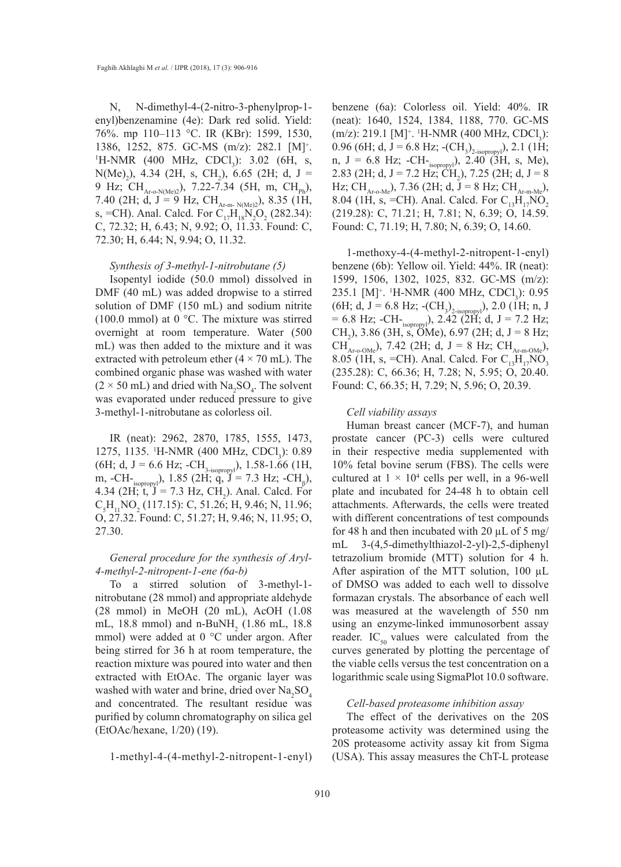N, N-dimethyl-4-(2-nitro-3-phenylprop-1 enyl)benzenamine (4e): Dark red solid. Yield: 76%. mp 110–113 °C. IR (KBr): 1599, 1530, 1386, 1252, 875. GC-MS (m/z): 282.1 [M]<sup>+</sup>.<br><sup>1</sup>H-NMR (400 MHz CDCL): 3.02 (6H<sub>s</sub>)  $H\text{-NMR}$  (400 MHz, CDCl<sub>3</sub>): 3.02 (6H, s,  $N(Me)$ <sub>2</sub>), 4.34 (2H, s, CH<sub>2</sub>), 6.65 (2H; d, J = 9 Hz; CH<sub>Ar-o-N(Me)</sub>), 7.22-7.34 (5H, m, CH<sub>Ph</sub>), 7.40 (2H; d, J = 9 Hz,  $CH_{Ar-m-N(Me)2}$ ), 8.35 (1H, s, =CH). Anal. Calcd. For  $C_{17}H_{18}N_2O_2$  (282.34): C, 72.32; H, 6.43; N, 9.92; O, 11.33. Found: C, 72.30; H, 6.44; N, 9.94; O, 11.32.

#### *Synthesis of 3-methyl-1-nitrobutane (5)*

Isopentyl iodide (50.0 mmol) dissolved in DMF (40 mL) was added dropwise to a stirred solution of DMF (150 mL) and sodium nitrite (100.0 mmol) at 0 °C. The mixture was stirred overnight at room temperature. Water (500 mL) was then added to the mixture and it was extracted with petroleum ether  $(4 \times 70 \text{ mL})$ . The combined organic phase was washed with water  $(2 \times 50 \text{ mL})$  and dried with Na<sub>2</sub>SO<sub>4</sub>. The solvent was evaporated under reduced pressure to give 3-methyl-1-nitrobutane as colorless oil.

IR (neat): 2962, 2870, 1785, 1555, 1473, 1275, 1135. <sup>1</sup>H-NMR (400 MHz, CDCl<sub>3</sub>): 0.89 (6H; d, J = 6.6 Hz; -CH<sub>3-isopropyl</sub>), 1.58-1.66 (1H, m, -CH- $_{\text{isopropy}}$ ), 1.85 (2H; q, J = 7.3 Hz; -CH<sub>β</sub>), 4.34 (2H;  $t$ ,  $J = 7.3$  Hz,  $CH<sub>2</sub>$ ). Anal. Calcd. For  $C_5H_{11}NO_2$  (117.15): C, 51.26; H, 9.46; N, 11.96; O, 27.32. Found: C, 51.27; H, 9.46; N, 11.95; O, 27.30.

# *General procedure for the synthesis of Aryl-4-methyl-2-nitropent-1-ene (6a-b)*

To a stirred solution of 3-methyl-1 nitrobutane (28 mmol) and appropriate aldehyde (28 mmol) in MeOH (20 mL), AcOH (1.08 mL, 18.8 mmol) and  $n-BuNH_2$  (1.86 mL, 18.8 mmol) were added at 0 °C under argon. After being stirred for 36 h at room temperature, the reaction mixture was poured into water and then extracted with EtOAc. The organic layer was washed with water and brine, dried over  $\text{Na}_2\text{SO}_4$ and concentrated. The resultant residue was purified by column chromatography on silica gel (EtOAc/hexane, 1/20) (19).

1-methyl-4-(4-methyl-2-nitropent-1-enyl)

benzene (6a): Colorless oil. Yield: 40%. IR (neat): 1640, 1524, 1384, 1188, 770. GC-MS  $(m/z)$ : 219.1 [M]<sup>+</sup>. <sup>1</sup>H-NMR (400 MHz, CDCl<sub>3</sub>): 0.96 (6H; d, J = 6.8 Hz;  $\text{-}(CH_3)_{\text{2-isopropy}}$ ), 2.1 (1H; n,  $J = 6.8$  Hz;  $-CH_{\text{isopropy}}$ ),  $2.40^{+34}$  (3H, s, Me), 2.83 (2H; d, J = 7.2 Hz; CH<sub>2</sub>), 7.25 (2H; d, J = 8 Hz; CH<sub>Ar-o-Me</sub>), 7.36 (2H; d, J = 8 Hz; CH<sub>Ar-m-Me</sub>), 8.04 (1H, s, =CH). Anal. Calcd. For  $C_{13}H_{17}NO_2$ (219.28): C, 71.21; H, 7.81; N, 6.39; O, 14.59. Found: C, 71.19; H, 7.80; N, 6.39; O, 14.60.

1-methoxy-4-(4-methyl-2-nitropent-1-enyl) benzene (6b): Yellow oil. Yield: 44%. IR (neat): 1599, 1506, 1302, 1025, 832. GC-MS (m/z): 235.1 [M]<sup>+</sup>. <sup>1</sup>H-NMR (400 MHz, CDCl<sub>3</sub>): 0.95 (6H; d, J = 6.8 Hz; -(CH<sub>3</sub>)<sub>2-isopropy</sub>), 2.0 (1H; n, J  $= 6.8$  Hz;  $-CH_{\text{isopropy}}$ ), 2.42 (2H; d, J = 7.2 Hz; CH<sub>2</sub>), 3.86 (3H, s, OMe), 6.97 (2H; d, J = 8 Hz;  $CH_{Ar-o-OMe}$ , 7.42 (2H; d, J = 8 Hz;  $CH_{Ar-m-OMe}$ ), 8.05 (1H, s, =CH). Anal. Calcd. For  $C_{13}H_{17}NO_3$ (235.28): C, 66.36; H, 7.28; N, 5.95; O, 20.40. Found: C, 66.35; H, 7.29; N, 5.96; O, 20.39.

#### *Cell viability assays*

Human breast cancer (MCF-7), and human prostate cancer (PC-3) cells were cultured in their respective media supplemented with 10% fetal bovine serum (FBS). The cells were cultured at  $1 \times 10^4$  cells per well, in a 96-well plate and incubated for 24-48 h to obtain cell attachments. Afterwards, the cells were treated with different concentrations of test compounds for 48 h and then incubated with 20  $\mu$ L of 5 mg/ mL 3-(4,5-dimethylthiazol-2-yl)-2,5-diphenyl tetrazolium bromide (MTT) solution for 4 h. After aspiration of the MTT solution, 100  $\mu$ L of DMSO was added to each well to dissolve formazan crystals. The absorbance of each well was measured at the wavelength of 550 nm using an enzyme-linked immunosorbent assay reader. IC<sub>50</sub> values were calculated from the curves generated by plotting the percentage of the viable cells versus the test concentration on a logarithmic scale using SigmaPlot 10.0 software.

#### *Cell-based proteasome inhibition assay*

The effect of the derivatives on the 20S proteasome activity was determined using the 20S proteasome activity assay kit from Sigma (USA). This assay measures the ChT-L protease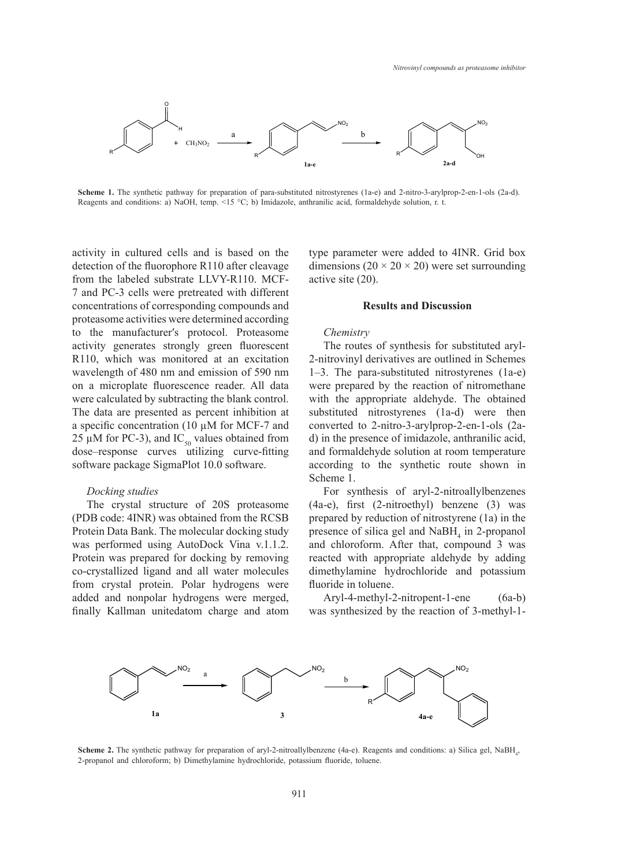

**Scheme 1.** The synthetic pathway for preparation of para-substituted nitrostyrenes (1a-e) and 2-nitro-3-arylprop-2-en-1-ols (2a-d). Reagents and conditions: a) NaOH, temp. <15 °C; b) Imidazole, anthranilic acid, formaldehyde solution, r. t. nitro-3-arylprop-2-en-2-en-1-ols (2a-d). Reagents and conditions: although  $\alpha$  and conditions:  $\alpha$ 

activity in cultured cells and is based on the detection of the fluorophore R110 after cleavage from the labeled substrate  $LLVY-R110$ . MCF- active site (20). 7 and PC-3 cells were pretreated with different reflections of corresponding compounds and **Results and Discussion** proteasome activities were determined according to the manufacturer′s protocol. Proteasome activity generates strongly green fluorescent R110, which was monitored at an excitation wavelength of 480 nm and emission of 590 nm on a microplate fluorescence reader. All data were calculated by subtracting the blank control. The data are presented as percent inhibition at a specific concentration (10  $\mu$ M for MCF-7 and 25  $\mu$ M for PC-3), and IC<sub>50</sub> values obtained from dose–response curves utilizing curve-fitting software package SigmaPlot 10.0 software.

# *Docking studies*

The crystal structure of 20S proteasome (PDB code: 4INR) was obtained from the RCSB Protein Data Bank. The molecular docking study was performed using AutoDock Vina v.1.1.2. Protein was prepared for docking by removing co-crystallized ligand and all water molecules from crystal protein. Polar hydrogens were added and nonpolar hydrogens were merged, finally Kallman unitedatom charge and atom

type parameter were added to 4INR. Grid box n of the fluorophore R110 after cleavage dimensions ( $20 \times 20 \times 20$ ) were set surrounding active site (20).

#### **Results and Discussion**

### *Chemistry*

The routes of synthesis for substituted aryl-2-nitrovinyl derivatives are outlined in Schemes 1–3. The para-substituted nitrostyrenes (1a-e) were prepared by the reaction of nitromethane with the appropriate aldehyde. The obtained substituted nitrostyrenes (1a-d) were then converted to 2-nitro-3-arylprop-2-en-1-ols (2ad) in the presence of imidazole, anthranilic acid, and formaldehyde solution at room temperature according to the synthetic route shown in Scheme 1.

For synthesis of aryl-2-nitroallylbenzenes (4a-e), first (2-nitroethyl) benzene (3) was prepared by reduction of nitrostyrene (1a) in the presence of silica gel and  $N$ a $BH$ <sub>4</sub> in 2-propanol and chloroform. After that, compound 3 was reacted with appropriate aldehyde by adding dimethylamine hydrochloride and potassium fluoride in toluene.

Aryl-4-methyl-2-nitropent-1-ene (6a-b) was synthesized by the reaction of 3-methyl-1-



**Scheme 2.** The synthetic pathway for preparation of aryl-2-nitroallylbenzene (4a-e). Reagents and conditions: a) Silica gel, NaBH<sub>4</sub>, 2-propanol and chloroform; b) Dimethylamine hydrochloride, potassium fluoride, toluene. and conditions: a) Silica gel, NaBH4, 2-propanol and chloroform; b)  $D$  b)  $D$  b)  $D$  b)  $D$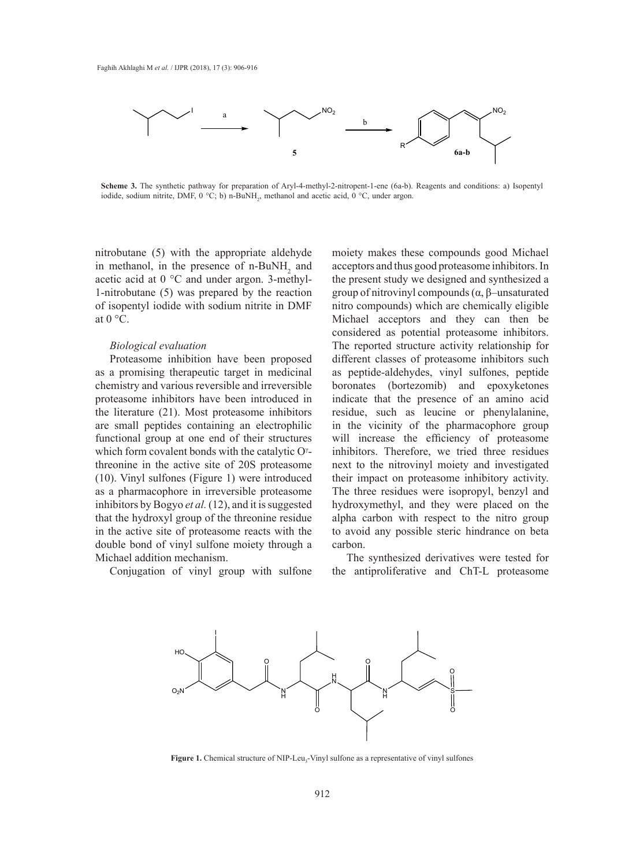

Scheme 3. The synthetic pathway for preparation of Aryl-4-methyl-2-nitropent-1-ene (6a-b). Reagents and conditions: a) Isopentyl iodide, sodium nitrite, DMF,  $0^{\circ}$ C; b) n-BuNH<sub>2</sub>, methanol and acetic acid,  $0^{\circ}$ C, under argon. **3.** The synthetic pathway for preparation of Aryl-4-methyl-2-nitropent-1-ene (6a-b). Reagents and conditions: a) I

nitrobutane (5) with the appropriate aldehyde in methanol, in the presence of  $n-BuNH<sub>2</sub>$  and acetic acid at 0 °C and under argon. 3-methyl-1-nitrobutane (5) was prepared by the reaction of isopentyl iodide with sodium nitrite in DMF at  $0^{\circ}$ C.

### *Biological evaluation*

Proteasome inhibition have been proposed as a promising therapeutic target in medicinal chemistry and various reversible and irreversible proteasome inhibitors have been introduced in the literature (21). Most proteasome inhibitors are small peptides containing an electrophilic functional group at one end of their structures which form covalent bonds with the catalytic  $O^{\gamma}$ threonine in the active site of 20S proteasome (10). Vinyl sulfones (Figure 1) were introduced as a pharmacophore in irreversible proteasome inhibitors by Bogyo *et al.* (12), and it is suggested that the hydroxyl group of the threonine residue in the active site of proteasome reacts with the double bond of vinyl sulfone moiety through a Michael addition mechanism.

Conjugation of vinyl group with sulfone

moiety makes these compounds good Michael acceptors and thus good proteasome inhibitors. In cid at  $0^{\circ}$ C and under argon. 3-methyl- the present study we designed and synthesized a utane (5) was prepared by the reaction group of nitrovinyl compounds  $(\alpha, \beta$ -unsaturated nitro compounds) which are chemically eligible Michael acceptors and they can then be Michael acceptors and they can then be considered as potential proteasome inhibitors. portingular evaluation and the subseted structure activity relationship for  $\Gamma$  reported structure activity relationship for a pharmacophore inhibition have been proposed different classes of proteasome inhibitors such as peptide-aldehydes, vinyl sulfones, peptide boronates (bortezomib) and epoxyketones indicate that the presence of an amino acid residue, such as leucine or phenylalanine, in the vicinity of the pharmacophore group will increase the efficiency of proteasome inhibitors. Therefore, we tried three residues next to the nitrovinyl moiety and investigated their impact on proteasome inhibitory activity. The three residues were isopropyl, benzyl and hydroxymethyl, and they were placed on the alpha carbon with respect to the nitro group to avoid any possible steric hindrance on beta carbon.

> The synthesized derivatives were tested for the antiproliferative and ChT-L proteasome



Figure 1. Chemical structure of NIP-Leu<sub>3</sub>-Vinyl sulfone as a representative of vinyl sulfones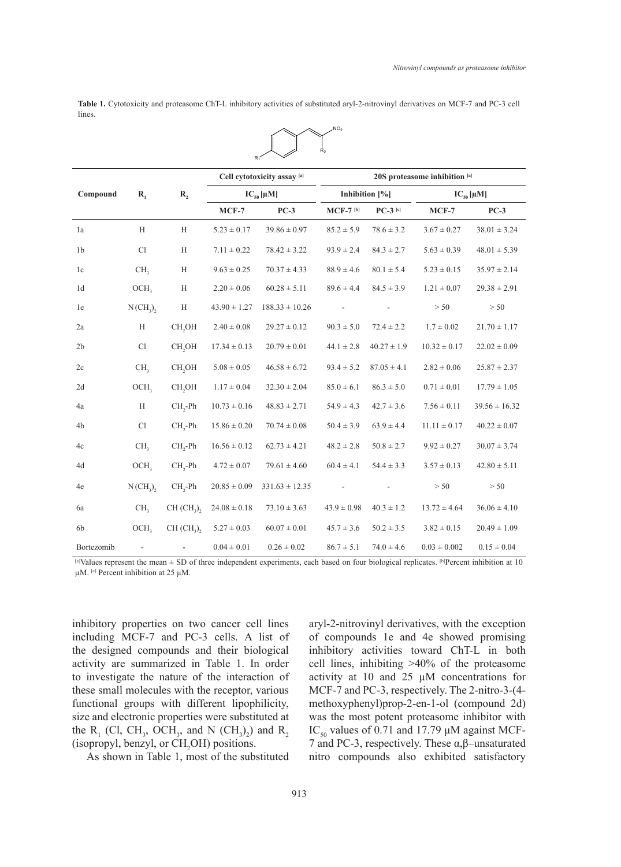Table 1. Cytotoxicity and proteasome ChT-L inhibitory activities of substituted aryl-2-nitrovinyl derivatives on MCF-7 and PC-3 cell lines. lines.

 $NO<sub>2</sub>$ 



<sup>[</sup>a]Values represent the mean ± SD of three independent experiments, each based on four biological replicates. [b]Percent inhibition at 10  $\mu$ M. <sup>[c]</sup> Percent inhibition at 25  $\mu$ M.

inhibitory properties on two cancer cell lines including MCF-7 and PC-3 cells. A list of the designed compounds and their biological activity are summarized in Table 1. In order to investigate the nature of the interaction of these small molecules with the receptor, various functional groups with different lipophilicity, size and electronic properties were substituted at the  $R_1$  (Cl, CH<sub>3</sub>, OCH<sub>3</sub>, and N (CH<sub>3</sub>)<sub>2</sub>) and  $R_2$ (isopropyl, benzyl, or  $CH_2OH$ ) positions.

As shown in Table 1, most of the substituted

aryl-2-nitrovinyl derivatives, with the exception of compounds 1e and 4e showed promising inhibitory activities toward ChT-L in both cell lines, inhibiting >40% of the proteasome activity at 10 and 25 µM concentrations for MCF-7 and PC-3, respectively. The 2-nitro-3-(4 methoxyphenyl)prop-2-en-1-ol (compound 2d) was the most potent proteasome inhibitor with IC<sub>50</sub> values of 0.71 and 17.79  $\mu$ M against MCF-7 and PC-3, respectively. These α,β–unsaturated nitro compounds also exhibited satisfactory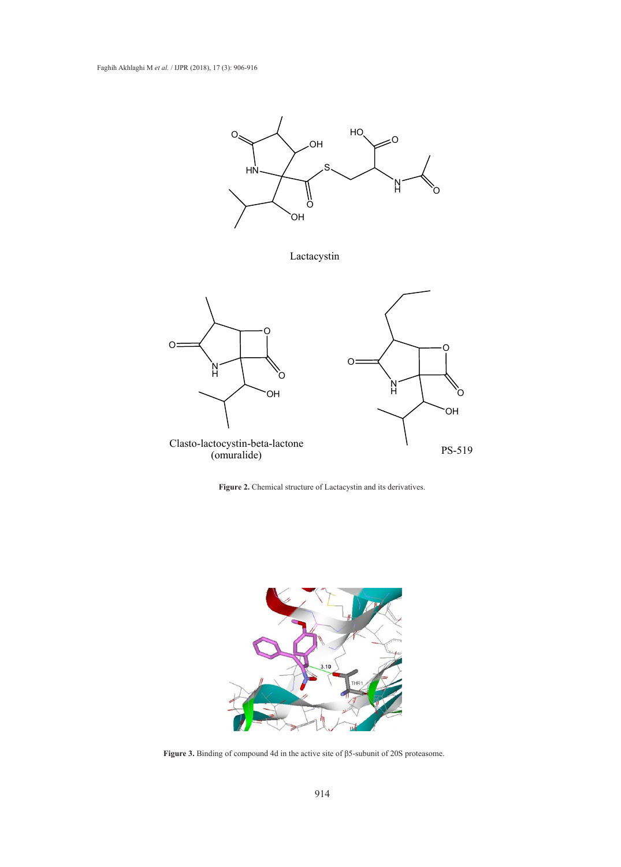





**Figure 3.** Binding of compound 4d in the active site of β5-subunit of 20S proteasome. **Figure 3.** Binding of compound 4d in the active site of β5-subunit of 20S proteasome.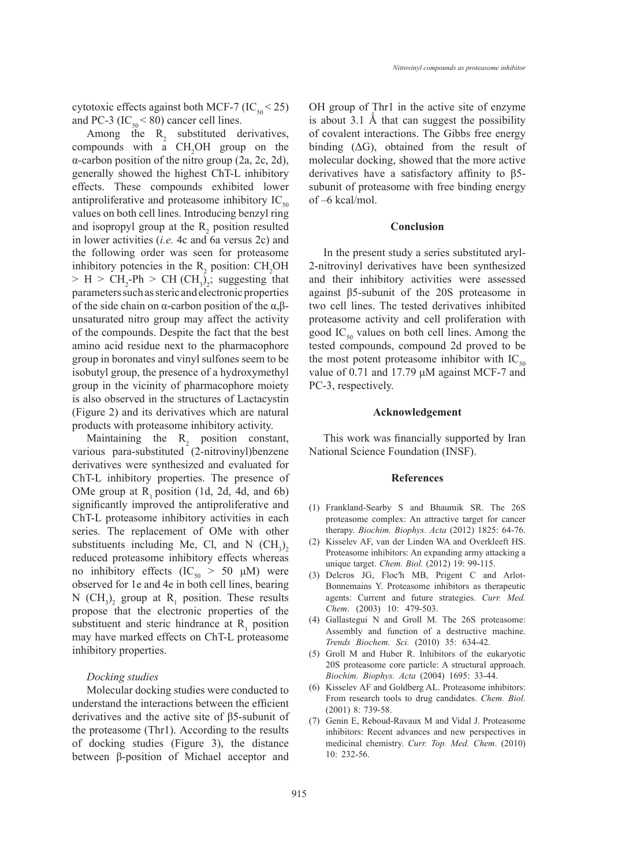cytotoxic effects against both MCF-7 (IC<sub>50</sub> < 25) and PC-3 ( $IC_{50}$  < 80) cancer cell lines.

Among the  $R_2$  substituted derivatives, compounds with a  $CH<sub>2</sub>OH$  group on the α-carbon position of the nitro group (2a, 2c, 2d), generally showed the highest ChT-L inhibitory effects. These compounds exhibited lower antiproliferative and proteasome inhibitory  $IC_{50}$ values on both cell lines. Introducing benzyl ring and isopropyl group at the  $R_2$  position resulted in lower activities (*i.e.* 4c and 6a versus 2c) and the following order was seen for proteasome inhibitory potencies in the  $R_2$  position:  $CH_2OH$  $> H > CH_2$ -Ph  $> CH (CH_3)_2$ ; suggesting that parameters such as steric and electronic properties of the side chain on α-carbon position of the α,βunsaturated nitro group may affect the activity of the compounds. Despite the fact that the best amino acid residue next to the pharmacophore group in boronates and vinyl sulfones seem to be isobutyl group, the presence of a hydroxymethyl group in the vicinity of pharmacophore moiety is also observed in the structures of Lactacystin (Figure 2) and its derivatives which are natural products with proteasome inhibitory activity.

Maintaining the  $R_2$  position constant, various para-substituted (2-nitrovinyl)benzene derivatives were synthesized and evaluated for ChT-L inhibitory properties. The presence of OMe group at  $R_1$  position (1d, 2d, 4d, and 6b) significantly improved the antiproliferative and ChT-L proteasome inhibitory activities in each series. The replacement of OMe with other substituents including Me, Cl, and N  $(CH_3)_2$ reduced proteasome inhibitory effects whereas no inhibitory effects (IC<sub>50</sub> > 50 μM) were observed for 1e and 4e in both cell lines, bearing N  $(CH_3)_2$  group at R<sub>1</sub> position. These results propose that the electronic properties of the substituent and steric hindrance at  $R_1$  position may have marked effects on ChT-L proteasome inhibitory properties.

# *Docking studies*

Molecular docking studies were conducted to understand the interactions between the efficient derivatives and the active site of β5-subunit of the proteasome (Thr1). According to the results of docking studies (Figure 3), the distance between β-position of Michael acceptor and OH group of Thr1 in the active site of enzyme is about 3.1 Å that can suggest the possibility of covalent interactions. The Gibbs free energy binding  $( \Delta G)$ , obtained from the result of molecular docking, showed that the more active derivatives have a satisfactory affinity to β5 subunit of proteasome with free binding energy of –6 kcal/mol.

#### **Conclusion**

In the present study a series substituted aryl-2-nitrovinyl derivatives have been synthesized and their inhibitory activities were assessed against β5-subunit of the 20S proteasome in two cell lines. The tested derivatives inhibited proteasome activity and cell proliferation with good  $IC_{50}$  values on both cell lines. Among the tested compounds, compound 2d proved to be the most potent proteasome inhibitor with  $IC_{50}$ value of 0.71 and 17.79 μM against MCF-7 and PC-3, respectively.

### **Acknowledgement**

This work was financially supported by Iran National Science Foundation (INSF).

### **References**

- Frankland-Searby S and Bhaumik SR. The 26S (1) proteasome complex: An attractive target for cancer therapy. *Biochim. Biophys. Acta* (2012) 1825: 64-76.
- (2) Kisselev AF, van der Linden WA and Overkleeft HS. Proteasome inhibitors: An expanding army attacking a unique target. *Chem. Biol.* (2012) 19: 99-115.
- Delcros JG, Floc′h MB, Prigent C and Arlot-(3) Bonnemains Y. Proteasome inhibitors as therapeutic agents: Current and future strategies. *Curr. Med. Chem*. (2003) 10: 479-503.
- (4) Gallastegui N and Groll M. The 26S proteasome: Assembly and function of a destructive machine. *Trends Biochem. Sci.* (2010) 35: 634-42.
- (5) Groll M and Huber R. Inhibitors of the eukaryotic 20S proteasome core particle: A structural approach. *Biochim. Biophys. Acta* (2004) 1695: 33-44.
- (6) Kisselev AF and Goldberg AL. Proteasome inhibitors: From research tools to drug candidates. *Chem. Biol.* (2001) 8: 739-58.
- Genin E, Reboud-Ravaux M and Vidal J. Proteasome (7)inhibitors: Recent advances and new perspectives in medicinal chemistry. *Curr. Top. Med. Chem*. (2010) 10: 232-56.